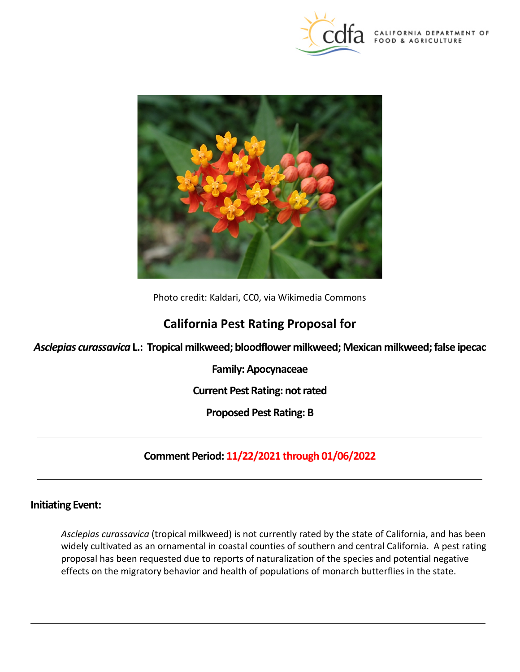



Photo credit: Kaldari, CC0, via Wikimedia Commons

# **California Pest Rating Proposal for**

 *Asclepias curassavica* **L.: Tropical milkweed; bloodflower milkweed; Mexican milkweed; false ipecac** 

**Family: Apocynaceae** 

**Current Pest Rating: not rated** 

 **Proposed Pest Rating: B** 

 **Comment Period: 11/22/2021 through 01/06/2022** 

# **Initiating Event:**

 *Asclepias curassavica* (tropical milkweed) is not currently rated by the state of California, and has been effects on the migratory behavior and health of populations of monarch butterflies in the state. widely cultivated as an ornamental in coastal counties of southern and central California. A pest rating proposal has been requested due to reports of naturalization of the species and potential negative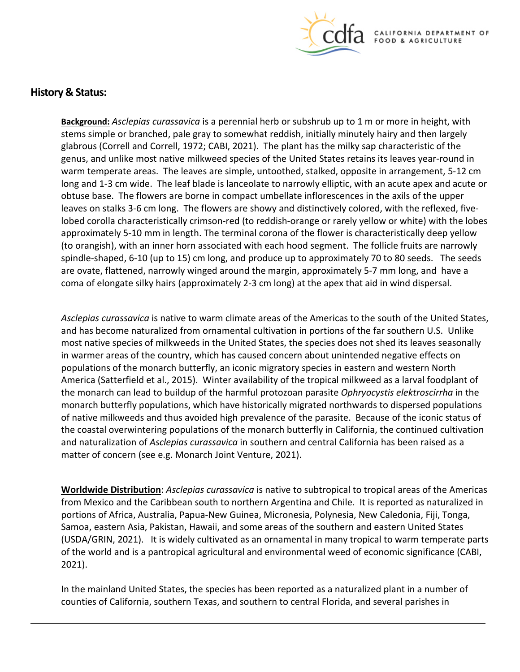

# **History & Status:**

 **Background:** *Asclepias curassavica* is a perennial herb or subshrub up to 1 m or more in height, with glabrous (Correll and Correll, 1972; CABI, 2021). The plant has the milky sap characteristic of the warm temperate areas. The leaves are simple, untoothed, stalked, opposite in arrangement, 5-12 cm long and 1-3 cm wide. The leaf blade is lanceolate to narrowly elliptic, with an acute apex and acute or obtuse base. The flowers are borne in compact umbellate inflorescences in the axils of the upper leaves on stalks 3-6 cm long. The flowers are showy and distinctively colored, with the reflexed, five- approximately 5-10 mm in length. The terminal corona of the flower is characteristically deep yellow are ovate, flattened, narrowly winged around the margin, approximately 5-7 mm long, and have a stems simple or branched, pale gray to somewhat reddish, initially minutely hairy and then largely genus, and unlike most native milkweed species of the United States retains its leaves year-round in lobed corolla characteristically crimson-red (to reddish-orange or rarely yellow or white) with the lobes (to orangish), with an inner horn associated with each hood segment. The follicle fruits are narrowly spindle-shaped, 6-10 (up to 15) cm long, and produce up to approximately 70 to 80 seeds. The seeds coma of elongate silky hairs (approximately 2-3 cm long) at the apex that aid in wind dispersal.

 *Asclepias curassavica* is native to warm climate areas of the Americas to the south of the United States, in warmer areas of the country, which has caused concern about unintended negative effects on America (Satterfield et al., 2015). Winter availability of the tropical milkweed as a larval foodplant of monarch butterfly populations, which have historically migrated northwards to dispersed populations matter of concern (see e.g. Monarch Joint Venture, 2021). and has become naturalized from ornamental cultivation in portions of the far southern U.S. Unlike most native species of milkweeds in the United States, the species does not shed its leaves seasonally populations of the monarch butterfly, an iconic migratory species in eastern and western North the monarch can lead to buildup of the harmful protozoan parasite *Ophryocystis elektroscirrha* in the of native milkweeds and thus avoided high prevalence of the parasite. Because of the iconic status of the coastal overwintering populations of the monarch butterfly in California, the continued cultivation and naturalization of *Asclepias curassavica* in southern and central California has been raised as a

 **Worldwide Distribution**: *Asclepias curassavica* is native to subtropical to tropical areas of the Americas from Mexico and the Caribbean south to northern Argentina and Chile. It is reported as naturalized in (USDA/GRIN, 2021). It is widely cultivated as an ornamental in many tropical to warm temperate parts portions of Africa, Australia, Papua-New Guinea, Micronesia, Polynesia, New Caledonia, Fiji, Tonga, Samoa, eastern Asia, Pakistan, Hawaii, and some areas of the southern and eastern United States of the world and is a pantropical agricultural and environmental weed of economic significance (CABI, 2021).

 In the mainland United States, the species has been reported as a naturalized plant in a number of counties of California, southern Texas, and southern to central Florida, and several parishes in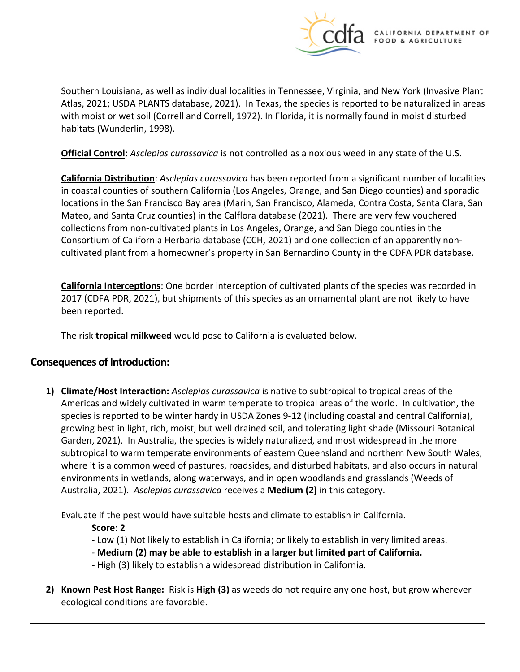

 Southern Louisiana, as well as individual localities in Tennessee, Virginia, and New York (Invasive Plant Atlas, 2021; USDA PLANTS database, 2021). In Texas, the species is reported to be naturalized in areas with moist or wet soil (Correll and Correll, 1972). In Florida, it is normally found in moist disturbed habitats (Wunderlin, 1998).

**Official Control:** *Asclepias curassavica* is not controlled as a noxious weed in any state of the U.S.

 Consortium of California Herbaria database (CCH, 2021) and one collection of an apparently non- cultivated plant from a homeowner's property in San Bernardino County in the CDFA PDR database. **California Distribution**: *Asclepias curassavica* has been reported from a significant number of localities in coastal counties of southern California (Los Angeles, Orange, and San Diego counties) and sporadic locations in the San Francisco Bay area (Marin, San Francisco, Alameda, Contra Costa, Santa Clara, San Mateo, and Santa Cruz counties) in the Calflora database (2021). There are very few vouchered collections from non-cultivated plants in Los Angeles, Orange, and San Diego counties in the

 **California Interceptions**: One border interception of cultivated plants of the species was recorded in 2017 (CDFA PDR, 2021), but shipments of this species as an ornamental plant are not likely to have been reported.

The risk **tropical milkweed** would pose to California is evaluated below.

### **Consequences of Introduction:**

 **1) Climate/Host Interaction:** *Asclepias curassavica* is native to subtropical to tropical areas of the Americas and widely cultivated in warm temperate to tropical areas of the world. In cultivation, the species is reported to be winter hardy in USDA Zones 9-12 (including coastal and central California), growing best in light, rich, moist, but well drained soil, and tolerating light shade (Missouri Botanical Garden, 2021). In Australia, the species is widely naturalized, and most widespread in the more Australia, 2021). *Asclepias curassavica* receives a **Medium (2)** in this category. subtropical to warm temperate environments of eastern Queensland and northern New South Wales, where it is a common weed of pastures, roadsides, and disturbed habitats, and also occurs in natural environments in wetlands, along waterways, and in open woodlands and grasslands (Weeds of

Evaluate if the pest would have suitable hosts and climate to establish in California.

**Score**: **2** 

- 
- Low (1) Not likely to establish in California; or likely to establish in very limited areas.<br>- **Medium (2) may be able to establish in a larger but limited part of California.**
- **-** High (3) likely to establish a widespread distribution in California.
- **2) Known Pest Host Range:** Risk is **High (3)** as weeds do not require any one host, but grow wherever ecological conditions are favorable.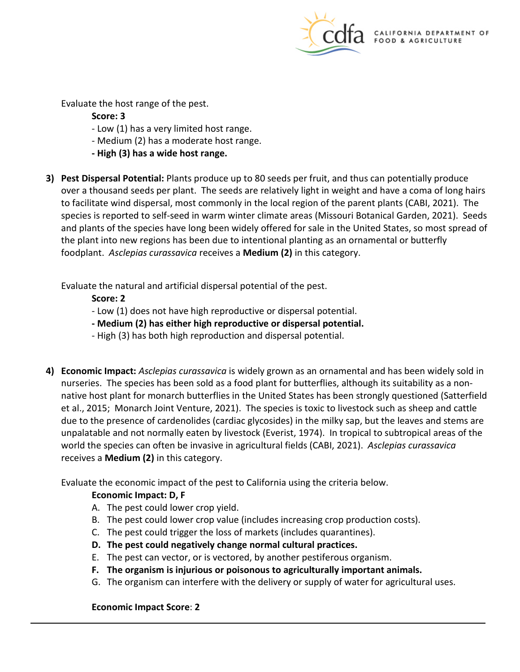

Evaluate the host range of the pest.

 **Score: 3** 

- Low (1) has a very limited host range.
- Medium (2) has a moderate host range.
- **- High (3) has a wide host range.**
- **3) Pest Dispersal Potential:** Plants produce up to 80 seeds per fruit, and thus can potentially produce over a thousand seeds per plant. The seeds are relatively light in weight and have a coma of long hairs to facilitate wind dispersal, most commonly in the local region of the parent plants (CABI, 2021). The species is reported to self-seed in warm winter climate areas (Missouri Botanical Garden, 2021). Seeds the plant into new regions has been due to intentional planting as an ornamental or butterfly and plants of the species have long been widely offered for sale in the United States, so most spread of foodplant. *Asclepias curassavica* receives a **Medium (2)** in this category.

Evaluate the natural and artificial dispersal potential of the pest.

 **Score: 2** 

- Low (1) does not have high reproductive or dispersal potential.
- **- Medium (2) has either high reproductive or dispersal potential.**
- High (3) has both high reproduction and dispersal potential.
- **4) Economic Impact:** *Asclepias curassavica* is widely grown as an ornamental and has been widely sold in nurseries. The species has been sold as a food plant for butterflies, although its suitability as a non- et al., 2015; Monarch Joint Venture, 2021). The species is toxic to livestock such as sheep and cattle unpalatable and not normally eaten by livestock (Everist, 1974). In tropical to subtropical areas of the world the species can often be invasive in agricultural fields (CABI, 2021). *Asclepias curassavica*  native host plant for monarch butterflies in the United States has been strongly questioned (Satterfield due to the presence of cardenolides (cardiac glycosides) in the milky sap, but the leaves and stems are receives a **Medium (2)** in this category.

Evaluate the economic impact of the pest to California using the criteria below.

### **Economic Impact: D, F**

- A. The pest could lower crop yield.
- B. The pest could lower crop value (includes increasing crop production costs).
- C. The pest could trigger the loss of markets (includes quarantines).
- **D. The pest could negatively change normal cultural practices.**
- E. The pest can vector, or is vectored, by another pestiferous organism.
- **F. The organism is injurious or poisonous to agriculturally important animals.**
- G. The organism can interfere with the delivery or supply of water for agricultural uses.

### **Economic Impact Score**: **2**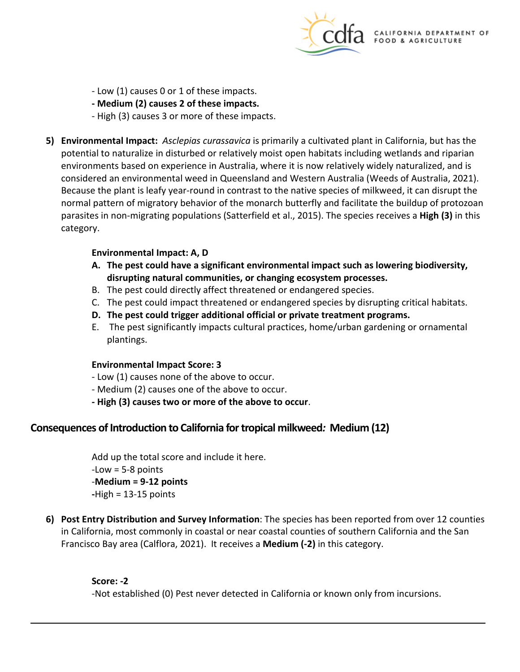

- Low (1) causes 0 or 1 of these impacts.
- **- Medium (2) causes 2 of these impacts.**
- High (3) causes 3 or more of these impacts.
- **5) Environmental Impact:** *Asclepias curassavica* is primarily a cultivated plant in California, but has the environments based on experience in Australia, where it is now relatively widely naturalized, and is Because the plant is leafy year-round in contrast to the native species of milkweed, it can disrupt the parasites in non-migrating populations (Satterfield et al., 2015). The species receives a **High (3)** in this category. potential to naturalize in disturbed or relatively moist open habitats including wetlands and riparian considered an environmental weed in Queensland and Western Australia (Weeds of Australia, 2021). normal pattern of migratory behavior of the monarch butterfly and facilitate the buildup of protozoan

#### **Environmental Impact: A, D**

- **A. The pest could have a significant environmental impact such as lowering biodiversity, disrupting natural communities, or changing ecosystem processes.**
- B. The pest could directly affect threatened or endangered species.
- C. The pest could impact threatened or endangered species by disrupting critical habitats.
- **D. The pest could trigger additional official or private treatment programs.**
- E. The pest significantly impacts cultural practices, home/urban gardening or ornamental plantings.

#### **Environmental Impact Score: 3**

- Low (1) causes none of the above to occur.
- Medium (2) causes one of the above to occur.
- **- High (3) causes two or more of the above to occur**.

# **Consequences of Introduction to California for tropical milkweed***:* **Medium (12)**

Add up the total score and include it here.<br>-Low = 5-8 points -**Medium = 9-12 points -**High = 13-15 points

 Francisco Bay area (Calflora, 2021). It receives a **Medium (-2)** in this category. **6) Post Entry Distribution and Survey Information**: The species has been reported from over 12 counties in California, most commonly in coastal or near coastal counties of southern California and the San

#### **Score: -2**

-Not established (0) Pest never detected in California or known only from incursions.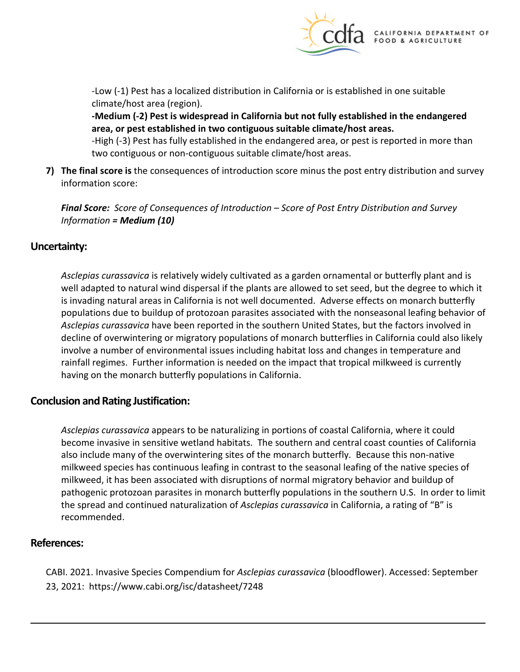

-Low (-1) Pest has a localized distribution in California or is established in one suitable climate/host area (region).

**-Medium (-2) Pest is widespread in California but not fully established in the endangered area, or pest established in two contiguous suitable climate/host areas.** 

 -High (-3) Pest has fully established in the endangered area, or pest is reported in more than two contiguous or non-contiguous suitable climate/host areas.

 **7) The final score is** the consequences of introduction score minus the post entry distribution and survey information score:

 *Information = Medium (10) Final Score: Score of Consequences of Introduction – Score of Post Entry Distribution and Survey* 

# **Uncertainty:**

 *Asclepias curassavica* is relatively widely cultivated as a garden ornamental or butterfly plant and is well adapted to natural wind dispersal if the plants are allowed to set seed, but the degree to which it is invading natural areas in California is not well documented. Adverse effects on monarch butterfly *Asclepias curassavica* have been reported in the southern United States, but the factors involved in involve a number of environmental issues including habitat loss and changes in temperature and rainfall regimes. Further information is needed on the impact that tropical milkweed is currently populations due to buildup of protozoan parasites associated with the nonseasonal leafing behavior of decline of overwintering or migratory populations of monarch butterflies in California could also likely having on the monarch butterfly populations in California.

# **Conclusion and Rating Justification:**

 milkweed species has continuous leafing in contrast to the seasonal leafing of the native species of milkweed, it has been associated with disruptions of normal migratory behavior and buildup of pathogenic protozoan parasites in monarch butterfly populations in the southern U.S. In order to limit *Asclepias curassavica* appears to be naturalizing in portions of coastal California, where it could become invasive in sensitive wetland habitats. The southern and central coast counties of California also include many of the overwintering sites of the monarch butterfly. Because this non-native the spread and continued naturalization of *Asclepias curassavica* in California, a rating of "B" is recommended.

### **References:**

 23, 2021: <https://www.cabi.org/isc/datasheet/7248> CABI. 2021. Invasive Species Compendium for *Asclepias curassavica* (bloodflower). Accessed: September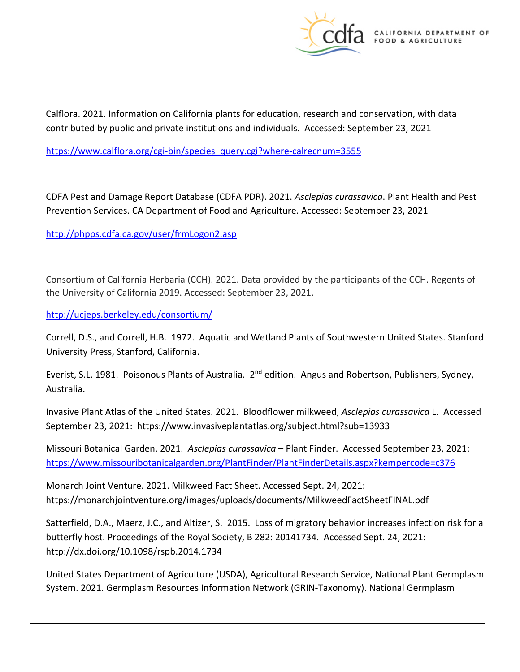

 Calflora. 2021. Information on California plants for education, research and conservation, with data contributed by public and private institutions and individuals. Accessed: September 23, 2021

[https://www.calflora.org/cgi-bin/species\\_query.cgi?where-calrecnum=3555](https://www.calflora.org/cgi-bin/species_query.cgi?where-calrecnum=3555) 

 Prevention Services. CA Department of Food and Agriculture. Accessed: September 23, 2021 CDFA Pest and Damage Report Database (CDFA PDR). 2021. *Asclepias curassavica*. Plant Health and Pest

<http://phpps.cdfa.ca.gov/user/frmLogon2.asp>

 the University of California 2019. Accessed: September 23, 2021. Consortium of California Herbaria (CCH). 2021. Data provided by the participants of the CCH. Regents of

<http://ucjeps.berkeley.edu/consortium/>

 Correll, D.S., and Correll, H.B. 1972. Aquatic and Wetland Plants of Southwestern United States. Stanford University Press, Stanford, California.

Everist, S.L. 1981. Poisonous Plants of Australia. 2<sup>nd</sup> edition. Angus and Robertson, Publishers, Sydney, Australia.

 Invasive Plant Atlas of the United States. 2021. Bloodflower milkweed, *Asclepias curassavica* L. Accessed September 23, 2021: <https://www.invasiveplantatlas.org/subject.html?sub=13933>

 Missouri Botanical Garden. 2021. *Asclepias curassavica* – Plant Finder. Accessed September 23, 2021: <https://www.missouribotanicalgarden.org/PlantFinder/PlantFinderDetails.aspx?kempercode=c376>

Monarch Joint Venture. 2021. Milkweed Fact Sheet. Accessed Sept. 24, 2021: <https://monarchjointventure.org/images/uploads/documents/MilkweedFactSheetFINAL.pdf>

 Satterfield, D.A., Maerz, J.C., and Altizer, S. 2015. Loss of migratory behavior increases infection risk for a butterfly host. Proceedings of the Royal Society, B 282: 20141734. Accessed Sept. 24, 2021: <http://dx.doi.org/10.1098/rspb.2014.1734>

 United States Department of Agriculture (USDA), Agricultural Research Service, National Plant Germplasm System. 2021. Germplasm Resources Information Network (GRIN-Taxonomy). National Germplasm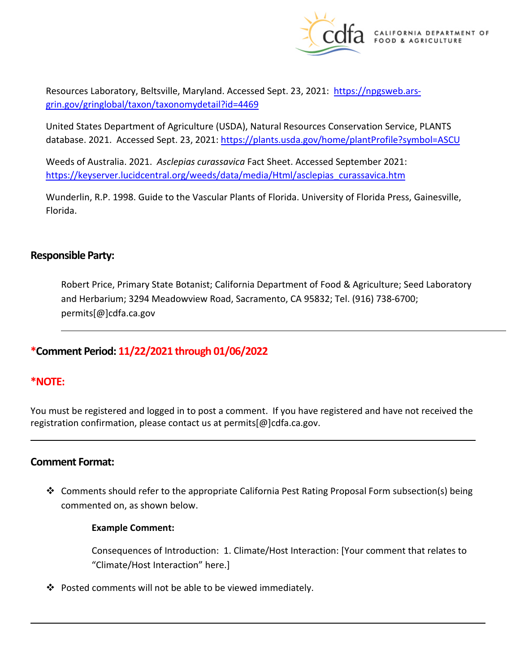

Resources Laboratory, Beltsville, Maryland. Accessed Sept. 23, 2021: [https://npgsweb.ars](https://npgsweb.ars-grin.gov/gringlobal/taxon/taxonomydetail?id=4469)[grin.gov/gringlobal/taxon/taxonomydetail?id=4469](https://npgsweb.ars-grin.gov/gringlobal/taxon/taxonomydetail?id=4469) 

 United States Department of Agriculture (USDA), Natural Resources Conservation Service, PLANTS database. 2021. Accessed Sept. 23, 2021: https://plants.usda.gov/home/plantProfile?symbol=ASCU

 Weeds of Australia. 2021. *Asclepias curassavica* Fact Sheet. Accessed September 2021: [https://keyserver.lucidcentral.org/weeds/data/media/Html/asclepias\\_curassavica.htm](https://keyserver.lucidcentral.org/weeds/data/media/Html/asclepias_curassavica.htm) 

 Wunderlin, R.P. 1998. Guide to the Vascular Plants of Florida. University of Florida Press, Gainesville, Florida.

### **Responsible Party:**

 and Herbarium; 3294 Meadowview Road, Sacramento, CA 95832; Tel. (916) 738-6700; Robert Price, Primary State Botanist; California Department of Food & Agriculture; Seed Laboratory [permits\[@\]cdfa.ca.gov](https://permits[@]cdfa.ca.gov) 

# **\*Comment Period: 11/22/2021 through 01/06/2022**

# **\*NOTE:**

 registration confirmation, please contact us at [permits\[@\]cdfa.ca.gov](https://permits[@]cdfa.ca.gov). You must be registered and logged in to post a comment. If you have registered and have not received the

### **Comment Format:**

 Comments should refer to the appropriate California Pest Rating Proposal Form subsection(s) being commented on, as shown below.

#### **Example Comment:**

 Consequences of Introduction: 1. Climate/Host Interaction: [Your comment that relates to "Climate/Host Interaction" here.]

Posted comments will not be able to be viewed immediately.